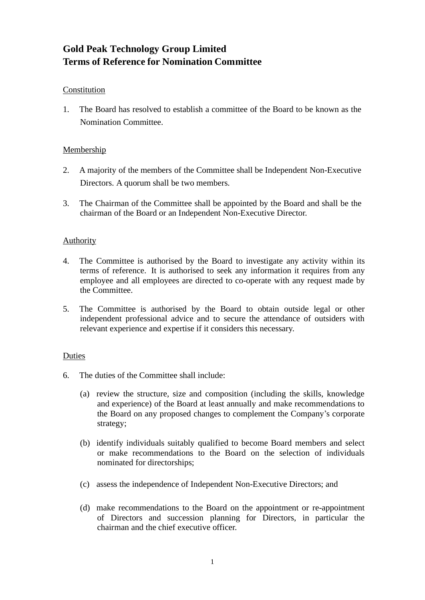## **Gold Peak Technology Group Limited Terms of Reference for Nomination Committee**

#### Constitution

1. The Board has resolved to establish a committee of the Board to be known as the Nomination Committee.

### Membership

- 2. A majority of the members of the Committee shall be Independent Non-Executive Directors. A quorum shall be two members.
- 3. The Chairman of the Committee shall be appointed by the Board and shall be the chairman of the Board or an Independent Non-Executive Director.

#### Authority

- 4. The Committee is authorised by the Board to investigate any activity within its terms of reference. It is authorised to seek any information it requires from any employee and all employees are directed to co-operate with any request made by the Committee.
- 5. The Committee is authorised by the Board to obtain outside legal or other independent professional advice and to secure the attendance of outsiders with relevant experience and expertise if it considers this necessary.

#### Duties

- 6. The duties of the Committee shall include:
	- (a) review the structure, size and composition (including the skills, knowledge and experience) of the Board at least annually and make recommendations to the Board on any proposed changes to complement the Company's corporate strategy;
	- (b) identify individuals suitably qualified to become Board members and select or make recommendations to the Board on the selection of individuals nominated for directorships;
	- (c) assess the independence of Independent Non-Executive Directors; and
	- (d) make recommendations to the Board on the appointment or re-appointment of Directors and succession planning for Directors, in particular the chairman and the chief executive officer.